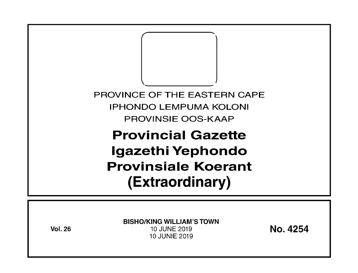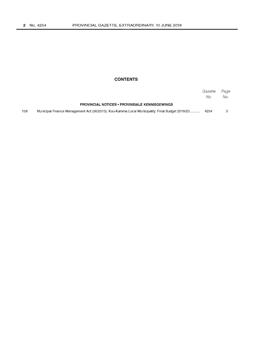## **CONTENTS**

|     |                                                                                                | Gazette<br>No. | Page<br>No. |
|-----|------------------------------------------------------------------------------------------------|----------------|-------------|
|     | <b>PROVINCIAL NOTICES • PROVINSIALE KENNISGEWINGS</b>                                          |                |             |
| 158 | Municipal Finance Management Act (56/2013): Kou-Kamma Local Municipality: Final Budget 2019/20 | 4254           |             |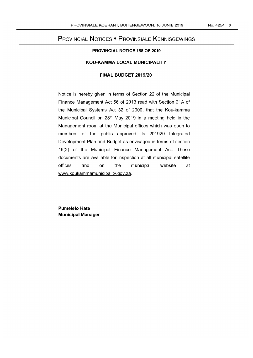# PROVINCIAL NOTICES • PROVINSIALE KENNISGEWINGS

#### **PROVINCIAL NOTICE 158 OF 2019**

#### **KOU-KAMMA LOCAL MUNICIPALITY**

## **FINAL BUDGET 2019/20**

Notice is hereby given in terms of Section 22 of the Municipal Finance Management Act 56 of 2013 read with Section 21A of the Municipal Systems Act 32 of 2000, that the Kou-kamma Municipal Council on 28<sup>th</sup> May 2019 in a meeting held in the Management room at the Municipal offices which was open to members of the public approved its 201920 Integrated Development Plan and Budget as envisaged in terms of section 16(2) of the Municipal Finance Management Act. These documents are available for inspection at all municipal satellite offices and on the municipal website at www.koukammamunicipality.gov.za.

**Pumelelo Kate Municipal Manager**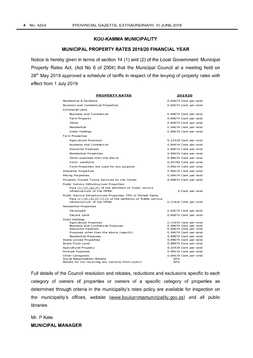#### KOU-KAMMA MUNICIPALITY

#### MUNICIPAL PROPERTY RATES 2019/20 FINANCIAL YEAR

Notice is hereby given in terms of section 14 (1) and (2) of the Local Government: Municipal Property Rates Act, (Act No 6 of 2004) that the Municipal Council at a meeting held on 28<sup>th</sup> May 2019 approved a schedule of tariffs in respect of the levying of property rates with effect from 1 July 2019

| <b>PROPERTY RATES</b>                                                                                                                                                                  | 201920                                         |  |  |
|----------------------------------------------------------------------------------------------------------------------------------------------------------------------------------------|------------------------------------------------|--|--|
| Residential & Domestic                                                                                                                                                                 | 0.89674 Cent per rand                          |  |  |
| Business and Commercial Properties                                                                                                                                                     | 0.89674 Cent per rand                          |  |  |
| Communal Land                                                                                                                                                                          |                                                |  |  |
| Business and Commercial                                                                                                                                                                | 0.89674 Cent per rand                          |  |  |
| Farm Property                                                                                                                                                                          | 0.89674 Cent per rand                          |  |  |
| Other                                                                                                                                                                                  | 0.89674 Cent per rand                          |  |  |
| Residential                                                                                                                                                                            | 0.89674 Cent per rand                          |  |  |
| Small Holdings                                                                                                                                                                         | 0.89674 Cent per rand                          |  |  |
| Farm Properties                                                                                                                                                                        |                                                |  |  |
| Agricultural Purposes                                                                                                                                                                  | 0.22419 Cent per rand                          |  |  |
| Business and Commercial                                                                                                                                                                | 0.89674 Cent per rand                          |  |  |
| Industrial Purposes                                                                                                                                                                    | 0.89674 Cent per rand                          |  |  |
| Residential Properties                                                                                                                                                                 | 0.89674 Cent per rand                          |  |  |
| Other purposes than the above                                                                                                                                                          | 0.89674 Cent per rand                          |  |  |
| Farm-windfarm                                                                                                                                                                          | 0.94750 Cent per rand                          |  |  |
| Farm Properties not used for any purpose                                                                                                                                               | 0.89674 Cent per rand                          |  |  |
| Industrial Properties                                                                                                                                                                  | 0.89674 Cent per rand                          |  |  |
| Mining Properties                                                                                                                                                                      | 0.89674 Cent per rand                          |  |  |
| Privately Owned Towns Serviced by the Owner                                                                                                                                            | 0.89674 Cent per rand                          |  |  |
| Public Service Infrastructure Properties                                                                                                                                               |                                                |  |  |
| Para $(a)$ , $(b)$ , $(g)$ , $(h)$ of the definition of 'Public service<br>infrastructure' of the MPRA                                                                                 | 0 Cent per rand                                |  |  |
| Public Service Infrastructure Properties 70% of Market Value<br>Para $(c)$ , $(d)$ , $(e)$ , $(f)$ , $(i)$ , $(j)$ of the definition of 'Public service<br>infrastructure' of the MPRA | 0.22418 Cent per rand                          |  |  |
| Residential Properties                                                                                                                                                                 |                                                |  |  |
| Developed                                                                                                                                                                              | 0.89674 Cent per rand                          |  |  |
| Vacant Land                                                                                                                                                                            | 0.89674 Cent per rand                          |  |  |
| Small Holdings                                                                                                                                                                         |                                                |  |  |
| Agricultural Purposes                                                                                                                                                                  | 0.22419 Cent per rand                          |  |  |
| Business and Commercial Purposes<br>Industrial Purposes                                                                                                                                | 0.89674 Cent per rand<br>0.89674 Cent per rand |  |  |
| Purposes other than the above (specify)                                                                                                                                                | 0.89674 Cent per rand                          |  |  |
| <b>Residential Purposes</b>                                                                                                                                                            | 0.89674 Cent per rand                          |  |  |
| State-owned Properties                                                                                                                                                                 | 0.89674 Cent per rand                          |  |  |
| State Trust Land                                                                                                                                                                       | 0.89674 Cent per rand                          |  |  |
| Agricultural Property                                                                                                                                                                  | 0.22419 Cent per rand                          |  |  |
| Multiple Purposes                                                                                                                                                                      | 0.89674 Cent per rand                          |  |  |
| Other Categories                                                                                                                                                                       | 0.89674 Cent per rand                          |  |  |
| Social Responsibility Rebate<br>Rebate for not receiving any services from council                                                                                                     | 30%<br>30%                                     |  |  |

Full details of the Council resolution and rebates, reductions and exclusions specific to each category of owners of properties or owners of a specific category of properties as determined through criteria in the municipality's rates policy are available for inspection on the municipality's offices, website (www.koukammamunicipality.gov.za) and all public libraries.

Mr. P Kate MUNICIPAL MANAGER